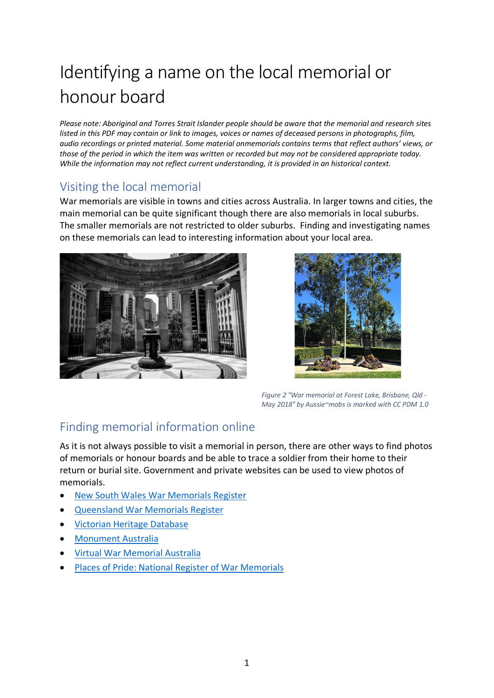## Identifying a name on the local memorial or honour board

*Please note: Aboriginal and Torres Strait Islander people should be aware that the memorial and research sites listed in this PDF may contain or link to images, voices or names of deceased persons in photographs, film, audio recordings or printed material. Some material onmemorials contains terms that reflect authors' views, or those of the period in which the item was written or recorded but may not be considered appropriate today. While the information may not reflect current understanding, it is provided in an historical context.* 

## Visiting the local memorial

War memorials are visible in towns and cities across Australia. In larger towns and cities, the main memorial can be quite significant though there are also memorials in local suburbs. The smaller memorials are not restricted to older suburbs. Finding and investigating names on these memorials can lead to interesting information about your local area.





*Figure 2 "War memorial at Forest Lake, Brisbane, Qld - May 2018" by Aussie~mobs is marked with CC PDM 1.0*

## Finding memorial information online

As it is not always possible to visit a memorial in person, there are other ways to find photos of memorials or honour boards and be able to trace a soldier from their home to their return or burial site. Government and private websites can be used to view photos of memorials.

- [New South Wales War Memorials Register](https://www.warmemorialsregister.nsw.gov.au/)
- [Queensland War Memorials Register](https://www.qldwarmemorials.com.au/)
- [Victorian Heritage Database](https://vhd.heritagecouncil.vic.gov.au/)
- [Monument Australia](https://monumentaustralia.org.au/search)
- [Virtual War Memorial Australia](https://vwma.org.au/)
- [Places of Pride: National Register of War Memorials](https://placesofpride.awm.gov.au/)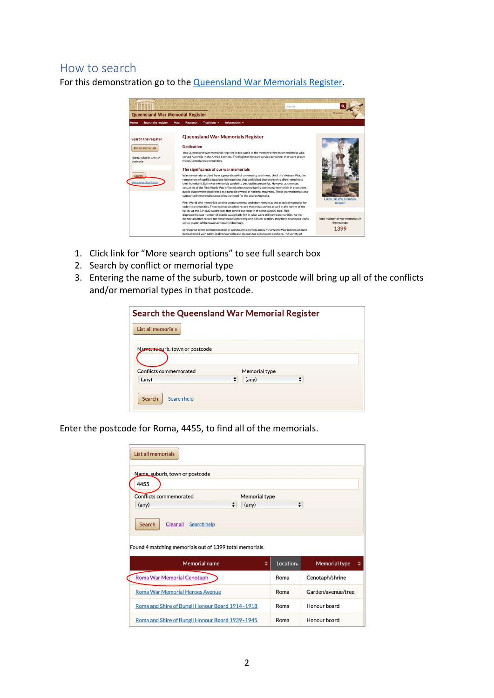## How to search

For this demonstration go to the [Queensland War Memorials Register.](https://www.qldwarmemorials.com.au/)



- 1. Click link for "More search options" to see full search box
- 2. Search by conflict or memorial type
- 3. Entering the name of the suburb, town or postcode will bring up all of the conflicts and/or memorial types in that postcode.

| <b>Search the Queensland War Memorial Register</b> |   |               |   |  |
|----------------------------------------------------|---|---------------|---|--|
| List all memorials                                 |   |               |   |  |
| Name, suburb, town or postcode                     |   |               |   |  |
|                                                    |   |               |   |  |
| Conflicts commemorated                             |   | Memorial type |   |  |
| (any)                                              | ÷ | (any)         | ÷ |  |
| Search<br>Search help                              |   |               |   |  |

Enter the postcode for Roma, 4455, to find all of the memorials.

| List all memorials                                      |                      |                    |                      |
|---------------------------------------------------------|----------------------|--------------------|----------------------|
| Name, suburb, town or postcode                          |                      |                    |                      |
| 4455                                                    |                      |                    |                      |
| Conflicts commemorated                                  | <b>Memorial type</b> |                    |                      |
| $\div$<br>(any)                                         | $(\text{any})$       | $\div$             |                      |
| Clear all<br>Search<br>Search help                      |                      |                    |                      |
| Found 4 matching memorials out of 1399 total memorials. |                      |                    |                      |
| <b>Memorial name</b>                                    | ÷                    | Location           | <b>Memorial type</b> |
| Roma War Memorial Cenotaph                              |                      | Roma               | Cenotaph/shrine      |
| <b>Roma War Memorial Heroes Avenue</b>                  | Roma                 | Garden/avenue/tree |                      |
| Roma and Shire of Bungil Honour Board 1914-1918         | Roma                 | Honour board       |                      |
| Roma and Shire of Bungil Honour Board 1939-1945         |                      | Roma               | Honour board         |